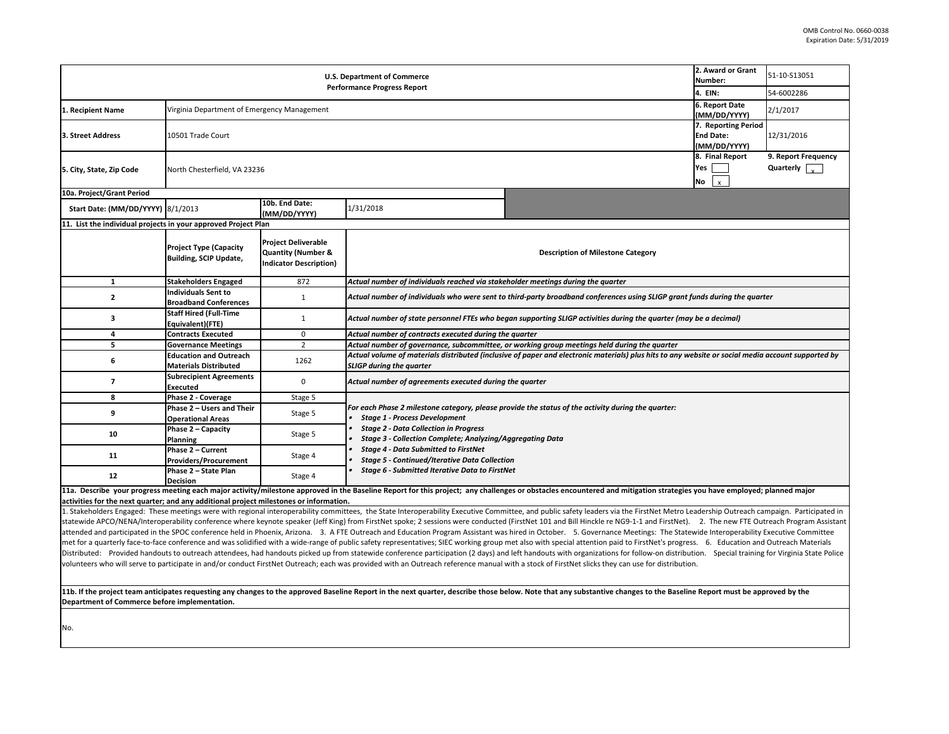11b. If the project team anticipates requesting any changes to the approved Baseline Report in the next quarter, describe those below. Note that any substantive or that approved by the Baseline beam approved any the baseli **Department of Commerce before implementation.** 

|                                                                     | 2. Award or Grant<br>Number:    | 51-10-S13051                                                             |
|---------------------------------------------------------------------|---------------------------------|--------------------------------------------------------------------------|
|                                                                     | 4. EIN:                         | 54-6002286                                                               |
|                                                                     | 6. Report Date                  |                                                                          |
|                                                                     | (MM/DD/YYYY)                    | 2/1/2017                                                                 |
|                                                                     | 7. Reporting Period             |                                                                          |
|                                                                     | <b>End Date:</b>                | 12/31/2016                                                               |
|                                                                     | (MM/DD/YYYY)<br>8. Final Report | 9. Report Frequency                                                      |
|                                                                     | Yes                             | Quarterly                                                                |
|                                                                     | No                              |                                                                          |
|                                                                     | x                               |                                                                          |
|                                                                     |                                 |                                                                          |
|                                                                     |                                 |                                                                          |
|                                                                     |                                 |                                                                          |
|                                                                     |                                 |                                                                          |
| ne Category                                                         |                                 |                                                                          |
|                                                                     |                                 |                                                                          |
| rter                                                                |                                 |                                                                          |
|                                                                     |                                 |                                                                          |
| ces using SLIGP grant funds during the quarter                      |                                 |                                                                          |
| luring the quarter (may be a decimal)                               |                                 |                                                                          |
|                                                                     |                                 |                                                                          |
| during the quarter                                                  |                                 |                                                                          |
| ials) plus hits to any website or social media account supported by |                                 |                                                                          |
|                                                                     |                                 |                                                                          |
|                                                                     |                                 |                                                                          |
|                                                                     |                                 |                                                                          |
| luring the quarter:                                                 |                                 |                                                                          |
|                                                                     |                                 |                                                                          |
|                                                                     |                                 |                                                                          |
|                                                                     |                                 |                                                                          |
|                                                                     |                                 |                                                                          |
|                                                                     |                                 |                                                                          |
| d mitigation strategies you have employed; planned major            |                                 |                                                                          |
|                                                                     |                                 |                                                                          |
|                                                                     |                                 | ia the FirstNet Metro Leadership Outreach campaign. Participated in      |
| ce Meetings: The Statewide Interoperability Executive Committee     |                                 | NG9-1-1 and FirstNet). 2. The new FTE Outreach Program Assistant         |
| aid to FirstNet's progress. 6. Education and Outreach Materials     |                                 |                                                                          |
|                                                                     |                                 | s for follow-on distribution. Special training for Virginia State Police |
| y can use for distribution.                                         |                                 |                                                                          |
|                                                                     |                                 |                                                                          |
| changes to the Baseline Report must be approved by the              |                                 |                                                                          |
|                                                                     |                                 |                                                                          |
|                                                                     |                                 |                                                                          |

| <b>U.S. Department of Commerce</b>                                                     |                                                                |                                                                                       |                                                                                                                                                                                                                                                                |                                                                                                                                                                                                                                                                                                                                                                                                                                                                                                                                                                                                                                                                                            | 2. Award or Grant<br><b>Number:</b>          | 51-10-S13051                                 |  |  |
|----------------------------------------------------------------------------------------|----------------------------------------------------------------|---------------------------------------------------------------------------------------|----------------------------------------------------------------------------------------------------------------------------------------------------------------------------------------------------------------------------------------------------------------|--------------------------------------------------------------------------------------------------------------------------------------------------------------------------------------------------------------------------------------------------------------------------------------------------------------------------------------------------------------------------------------------------------------------------------------------------------------------------------------------------------------------------------------------------------------------------------------------------------------------------------------------------------------------------------------------|----------------------------------------------|----------------------------------------------|--|--|
|                                                                                        | <b>Performance Progress Report</b>                             |                                                                                       |                                                                                                                                                                                                                                                                |                                                                                                                                                                                                                                                                                                                                                                                                                                                                                                                                                                                                                                                                                            |                                              | 54-6002286                                   |  |  |
| Recipient Name                                                                         |                                                                | Virginia Department of Emergency Management                                           |                                                                                                                                                                                                                                                                |                                                                                                                                                                                                                                                                                                                                                                                                                                                                                                                                                                                                                                                                                            |                                              | 2/1/2017                                     |  |  |
| 3. Street Address                                                                      | 10501 Trade Court                                              |                                                                                       |                                                                                                                                                                                                                                                                |                                                                                                                                                                                                                                                                                                                                                                                                                                                                                                                                                                                                                                                                                            |                                              | 12/31/2016                                   |  |  |
| 5. City, State, Zip Code                                                               | North Chesterfield, VA 23236                                   |                                                                                       |                                                                                                                                                                                                                                                                |                                                                                                                                                                                                                                                                                                                                                                                                                                                                                                                                                                                                                                                                                            | 8. Final Report<br>Yes<br>No<br>$\mathbf{x}$ | 9. Report Frequency<br>Quarterly $\sqrt{\ }$ |  |  |
| 10a. Project/Grant Period                                                              |                                                                |                                                                                       |                                                                                                                                                                                                                                                                |                                                                                                                                                                                                                                                                                                                                                                                                                                                                                                                                                                                                                                                                                            |                                              |                                              |  |  |
| <b>Start Date: (MM/DD/YYYY) 8/1/2013</b>                                               |                                                                | 10b. End Date:<br>(MM/DD/YYYY)                                                        | 1/31/2018                                                                                                                                                                                                                                                      |                                                                                                                                                                                                                                                                                                                                                                                                                                                                                                                                                                                                                                                                                            |                                              |                                              |  |  |
| 11. List the individual projects in your approved Project Plan                         |                                                                |                                                                                       |                                                                                                                                                                                                                                                                |                                                                                                                                                                                                                                                                                                                                                                                                                                                                                                                                                                                                                                                                                            |                                              |                                              |  |  |
|                                                                                        | <b>Project Type (Capacity</b><br><b>Building, SCIP Update,</b> | <b>Project Deliverable</b><br><b>Quantity (Number &amp;</b><br>Indicator Description) |                                                                                                                                                                                                                                                                | <b>Description of Milestone Category</b>                                                                                                                                                                                                                                                                                                                                                                                                                                                                                                                                                                                                                                                   |                                              |                                              |  |  |
| 1                                                                                      | <b>Stakeholders Engaged</b>                                    | 872                                                                                   | Actual number of individuals reached via stakeholder meetings during the quarter                                                                                                                                                                               |                                                                                                                                                                                                                                                                                                                                                                                                                                                                                                                                                                                                                                                                                            |                                              |                                              |  |  |
| $\mathbf{2}$                                                                           | <b>Individuals Sent to</b><br><b>Broadband Conferences</b>     |                                                                                       |                                                                                                                                                                                                                                                                | Actual number of individuals who were sent to third-party broadband conferences using SLIGP grant funds during the quarter                                                                                                                                                                                                                                                                                                                                                                                                                                                                                                                                                                 |                                              |                                              |  |  |
| 3                                                                                      | <b>Staff Hired (Full-Time</b><br><b>Equivalent)(FTE)</b>       |                                                                                       | Actual number of state personnel FTEs who began supporting SLIGP activities during the quarter (may be a decimal)                                                                                                                                              |                                                                                                                                                                                                                                                                                                                                                                                                                                                                                                                                                                                                                                                                                            |                                              |                                              |  |  |
|                                                                                        | <b>Contracts Executed</b>                                      | $\mathbf{0}$                                                                          | Actual number of contracts executed during the quarter                                                                                                                                                                                                         |                                                                                                                                                                                                                                                                                                                                                                                                                                                                                                                                                                                                                                                                                            |                                              |                                              |  |  |
|                                                                                        | <b>Governance Meetings</b>                                     | $\overline{2}$                                                                        | Actual number of governance, subcommittee, or working group meetings held during the quarter                                                                                                                                                                   |                                                                                                                                                                                                                                                                                                                                                                                                                                                                                                                                                                                                                                                                                            |                                              |                                              |  |  |
| 6                                                                                      | <b>Education and Outreach</b><br><b>Materials Distributed</b>  | 1262                                                                                  | Actual volume of materials distributed (inclusive of paper and electronic materials) plus hits to any website or social media account supported by<br><b>SLIGP during the quarter</b>                                                                          |                                                                                                                                                                                                                                                                                                                                                                                                                                                                                                                                                                                                                                                                                            |                                              |                                              |  |  |
|                                                                                        | <b>Subrecipient Agreements</b><br>Executed                     |                                                                                       | Actual number of agreements executed during the quarter                                                                                                                                                                                                        |                                                                                                                                                                                                                                                                                                                                                                                                                                                                                                                                                                                                                                                                                            |                                              |                                              |  |  |
| 8                                                                                      | Phase 2 - Coverage                                             | Stage 5                                                                               |                                                                                                                                                                                                                                                                |                                                                                                                                                                                                                                                                                                                                                                                                                                                                                                                                                                                                                                                                                            |                                              |                                              |  |  |
|                                                                                        | Phase 2 - Users and Their<br><b>Operational Areas</b>          | Stage 5                                                                               | For each Phase 2 milestone category, please provide the status of the activity during the quarter:<br><b>Stage 1 - Process Development</b><br><b>Stage 2 - Data Collection in Progress</b><br><b>Stage 3 - Collection Complete; Analyzing/Aggregating Data</b> |                                                                                                                                                                                                                                                                                                                                                                                                                                                                                                                                                                                                                                                                                            |                                              |                                              |  |  |
| 10                                                                                     | Phase 2 - Capacity<br><b>Planning</b>                          | Stage 5                                                                               |                                                                                                                                                                                                                                                                |                                                                                                                                                                                                                                                                                                                                                                                                                                                                                                                                                                                                                                                                                            |                                              |                                              |  |  |
| 11                                                                                     | Phase 2 - Current<br><b>Providers/Procurement</b>              | Stage 4                                                                               | <b>Stage 4 - Data Submitted to FirstNet</b><br><b>Stage 5 - Continued/Iterative Data Collection</b>                                                                                                                                                            |                                                                                                                                                                                                                                                                                                                                                                                                                                                                                                                                                                                                                                                                                            |                                              |                                              |  |  |
| 12                                                                                     | Phase 2 - State Plan<br><b>Decision</b>                        | Stage 4                                                                               | <b>Stage 6 - Submitted Iterative Data to FirstNet</b>                                                                                                                                                                                                          |                                                                                                                                                                                                                                                                                                                                                                                                                                                                                                                                                                                                                                                                                            |                                              |                                              |  |  |
| activities for the next quarter; and any additional project milestones or information. |                                                                |                                                                                       |                                                                                                                                                                                                                                                                | 11a. Describe your progress meeting each major activity/milestone approved in the Baseline Report for this project; any challenges or obstacles encountered and mitigation strategies you have employed; planned major<br>. Stakeholders Engaged: These meetings were with regional interoperability committees, the State Interoperability Executive Committee, and public safety leaders via the FirstNet Metro Leadership Outreach campaign. Particip<br>statewide APCO/NENA/Interoperability conference where keynote speaker (Jeff King) from FirstNet spoke; 2 sessions were conducted (FirstNet 101 and Bill Hinckle re NG9-1-1 and FirstNet). 2. The new FTE Outreach Program Assi |                                              |                                              |  |  |
|                                                                                        |                                                                |                                                                                       |                                                                                                                                                                                                                                                                | attended and participated in the SPOC conference held in Phoenix, Arizona. 3. A FTE Outreach and Education Program Assistant was hired in October. 5. Governance Meetings: The Statewide Interoperability Executive Committee<br>met for a quarterly face-to-face conference and was solidified with a wide-range of public safety representatives; SIEC working group met also with special attention paid to FirstNet's progress. 6. Education and Outreach M                                                                                                                                                                                                                            |                                              |                                              |  |  |

Distributed: Provided handouts to outreach attendees, had handouts picked up from statewide conference participation (2 days) and left handouts with organizations volunteers who will serve to participate in and/or conduct FirstNet Outreach; each was provided with an Outreach reference manual with a stock of FirstNet slicks they

No.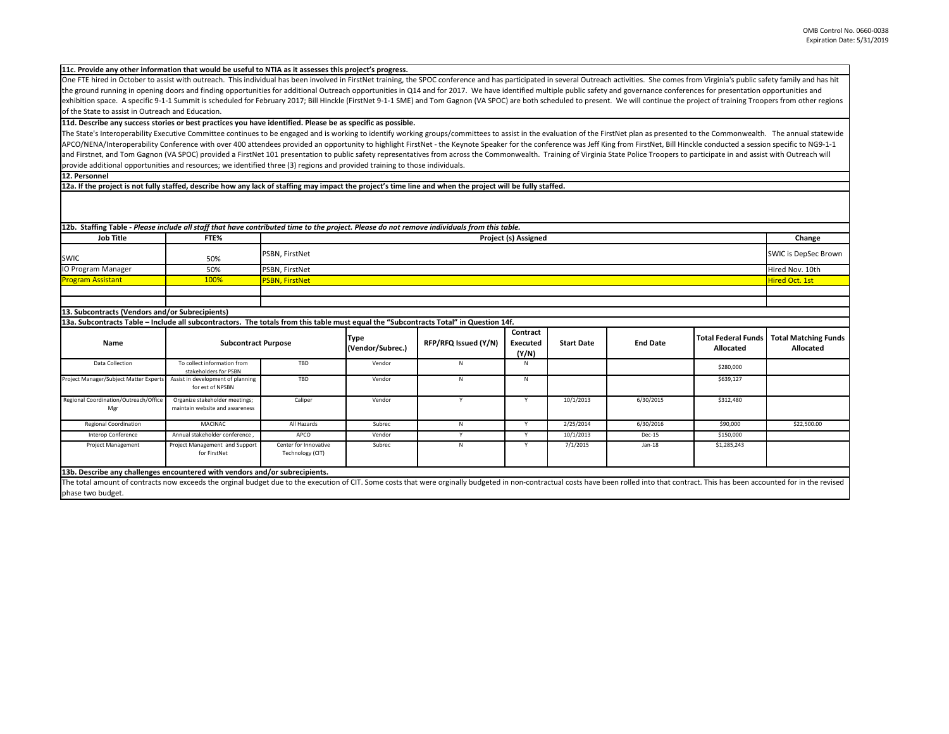| activities. She comes from Virginia's public safety family and has hit<br>and governance conferences for presentation opportunities and<br>. We will continue the project of training Troopers from other regions   |                                                |                                                 |  |  |  |  |
|---------------------------------------------------------------------------------------------------------------------------------------------------------------------------------------------------------------------|------------------------------------------------|-------------------------------------------------|--|--|--|--|
| stNet plan as presented to the Commonwealth. The annual statewide<br>g from FirstNet, Bill Hinckle conducted a session specific to NG9-1-1<br>State Police Troopers to participate in and assist with Outreach will |                                                |                                                 |  |  |  |  |
|                                                                                                                                                                                                                     |                                                |                                                 |  |  |  |  |
|                                                                                                                                                                                                                     |                                                |                                                 |  |  |  |  |
|                                                                                                                                                                                                                     |                                                |                                                 |  |  |  |  |
|                                                                                                                                                                                                                     |                                                |                                                 |  |  |  |  |
|                                                                                                                                                                                                                     |                                                | Change                                          |  |  |  |  |
|                                                                                                                                                                                                                     |                                                | <b>SWIC is DepSec Brown</b>                     |  |  |  |  |
|                                                                                                                                                                                                                     |                                                | Hired Nov. 10th                                 |  |  |  |  |
|                                                                                                                                                                                                                     |                                                | <b>Hired Oct. 1st</b>                           |  |  |  |  |
|                                                                                                                                                                                                                     |                                                |                                                 |  |  |  |  |
|                                                                                                                                                                                                                     |                                                |                                                 |  |  |  |  |
|                                                                                                                                                                                                                     |                                                |                                                 |  |  |  |  |
|                                                                                                                                                                                                                     |                                                |                                                 |  |  |  |  |
| <b>End Date</b>                                                                                                                                                                                                     | <b>Total Federal Funds</b><br><b>Allocated</b> | <b>Total Matching Funds</b><br><b>Allocated</b> |  |  |  |  |
|                                                                                                                                                                                                                     |                                                |                                                 |  |  |  |  |
|                                                                                                                                                                                                                     | \$639,127                                      |                                                 |  |  |  |  |
|                                                                                                                                                                                                                     |                                                |                                                 |  |  |  |  |

The total amount of contracts now exceeds the orginal budget due to the execution of CIT. Some costs that were orginally budgeted in non-contractual costs have been rolled into that contract. This has been accounted for in phase two budget.

| 12b. Staffing Table - Please include all staff that have contributed time to the project. Please do not remove individuals from this table. |                                                                  |                                           |                          |                      |                                      |                   |                 |                                                |                                                 |
|---------------------------------------------------------------------------------------------------------------------------------------------|------------------------------------------------------------------|-------------------------------------------|--------------------------|----------------------|--------------------------------------|-------------------|-----------------|------------------------------------------------|-------------------------------------------------|
| <b>Job Title</b>                                                                                                                            | FTE%                                                             | <b>Project (s) Assigned</b>               |                          |                      |                                      |                   | Change          |                                                |                                                 |
| <b>SWIC</b>                                                                                                                                 | 50%                                                              | PSBN, FirstNet                            |                          |                      |                                      |                   |                 | <b>SWIC is DepSec Brown</b>                    |                                                 |
| IO Program Manager                                                                                                                          | 50%                                                              | PSBN, FirstNet                            |                          |                      |                                      |                   |                 |                                                | Hired Nov. 10th                                 |
| <b>Program Assistant</b>                                                                                                                    | 100%                                                             | <b>PSBN, FirstNet</b>                     |                          |                      |                                      |                   |                 |                                                | Hired Oct. 1st                                  |
|                                                                                                                                             |                                                                  |                                           |                          |                      |                                      |                   |                 |                                                |                                                 |
|                                                                                                                                             |                                                                  |                                           |                          |                      |                                      |                   |                 |                                                |                                                 |
| 13. Subcontracts (Vendors and/or Subrecipients)                                                                                             |                                                                  |                                           |                          |                      |                                      |                   |                 |                                                |                                                 |
| 13a. Subcontracts Table – Include all subcontractors. The totals from this table must equal the "Subcontracts Total" in Question 14f.       |                                                                  |                                           |                          |                      |                                      |                   |                 |                                                |                                                 |
| <b>Name</b>                                                                                                                                 | <b>Subcontract Purpose</b>                                       |                                           | Type<br>(Vendor/Subrec.) | RFP/RFQ Issued (Y/N) | Contract<br><b>Executed</b><br>(Y/N) | <b>Start Date</b> | <b>End Date</b> | <b>Total Federal Funds</b><br><b>Allocated</b> | <b>Total Matching Funds</b><br><b>Allocated</b> |
| <b>Data Collection</b>                                                                                                                      | To collect information from<br>stakeholders for PSBN             | TBD                                       | Vendor                   | N                    | N                                    |                   |                 | \$280,000                                      |                                                 |
| Project Manager/Subject Matter Experts                                                                                                      | Assist in development of planning<br>for est of NPSBN            | TBD                                       | Vendor                   | N                    | N                                    |                   |                 | \$639,127                                      |                                                 |
| Regional Coordination/Outreach/Office<br>Mgr                                                                                                | Organize stakeholder meetings;<br>maintain website and awareness | Caliper                                   | Vendor                   |                      | Y                                    | 10/1/2013         | 6/30/2015       | \$312,480                                      |                                                 |
| <b>Regional Coordination</b>                                                                                                                | <b>MACINAC</b>                                                   | All Hazards                               | Subrec                   | N                    | Y                                    | 2/25/2014         | 6/30/2016       | \$90,000                                       | \$22,500.00                                     |
| Interop Conference                                                                                                                          | Annual stakeholder conference,                                   | APCO                                      | Vendor                   | Y                    | Y                                    | 10/1/2013         | Dec-15          | \$150,000                                      |                                                 |
| <b>Project Management</b>                                                                                                                   | Project Management and Support<br>for FirstNet                   | Center for Innovative<br>Technology (CIT) | Subrec                   | N                    | $\mathsf{Y}$                         | 7/1/2015          | $Jan-18$        | \$1,285,243                                    |                                                 |
| 13b. Describe any challenges encountered with vendors and/or subrecipients.                                                                 |                                                                  |                                           |                          |                      |                                      |                   |                 |                                                |                                                 |

The State's Interoperability Executive Committee continues to be engaged and is working to identify working groups/committees to assist in the evaluation of the First APCO/NENA/Interoperability Conference with over 400 attendees provided an opportunity to highlight FirstNet - the Keynote Speaker for the conference was Jeff Kin and Firstnet, and Tom Gagnon (VA SPOC) provided a FirstNet 101 presentation to public safety representatives from across the Commonwealth. Training of Virginia St provide additional opportunities and resources; we identified three (3) regions and provided training to those individuals.

One FTE hired in October to assist with outreach. This individual has been involved in FirstNet training, the SPOC conference and has participated in several Outreach the ground running in opening doors and finding opportunities for additional Outreach opportunities in Q14 and for 2017. We have identified multiple public safety a exhibition space. A specific 9-1-1 Summit is scheduled for February 2017; Bill Hinckle (FirstNet 9-1-1 SME) and Tom Gagnon (VA SPOC) are both scheduled to present. of the State to assist in Outreach and Education.

**12a. If the project is not fully staffed, describe how any lack of staffing may impact the project's time line and when the project will be fully staffed.**

## **12. Personnel**

## **11d. Describe any success stories or best practices you have identified. Please be as specific as possible.**

## **11c. Provide any other information that would be useful to NTIA as it assesses this project's progress.**